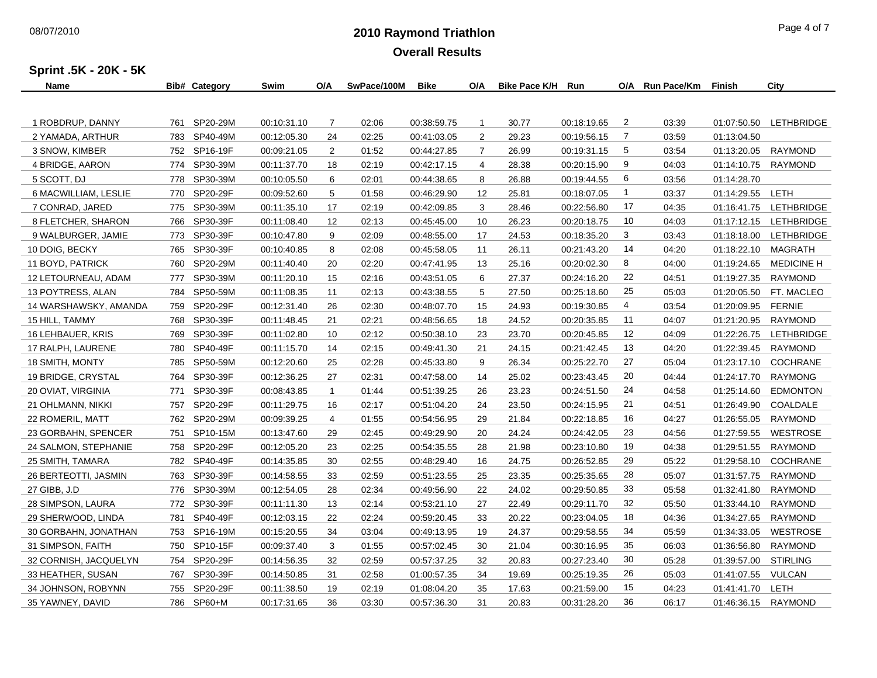## **2010 Raymond Triathlon** 08/07/2010 Page 4 of 7 **Overall Results**

**Sprint .5K - 20K - 5K**

| Name                  | <b>Bib# Category</b> | Swim        | O/A            | SwPace/100M | <b>Bike</b> | O/A            | Bike Pace K/H | Run         | O/A            | <b>Run Pace/Km</b> | Finish      | City               |
|-----------------------|----------------------|-------------|----------------|-------------|-------------|----------------|---------------|-------------|----------------|--------------------|-------------|--------------------|
|                       |                      |             |                |             |             |                |               |             |                |                    |             |                    |
| 1 ROBDRUP, DANNY      | 761 SP20-29M         | 00:10:31.10 | $\overline{7}$ | 02:06       | 00:38:59.75 | $\mathbf{1}$   | 30.77         | 00:18:19.65 | $\overline{2}$ | 03:39              | 01:07:50.50 | LETHBRIDGE         |
| 2 YAMADA, ARTHUR      | 783 SP40-49M         | 00:12:05.30 | 24             | 02:25       | 00:41:03.05 | $\overline{2}$ | 29.23         | 00:19:56.15 | 7              | 03:59              | 01:13:04.50 |                    |
| 3 SNOW, KIMBER        | 752 SP16-19F         | 00:09:21.05 | $\overline{2}$ | 01:52       | 00:44:27.85 | $\overline{7}$ | 26.99         | 00:19:31.15 | 5              | 03:54              | 01:13:20.05 | RAYMOND            |
| 4 BRIDGE, AARON       | 774 SP30-39M         | 00:11:37.70 | 18             | 02:19       | 00:42:17.15 | 4              | 28.38         | 00:20:15.90 | 9              | 04:03              | 01:14:10.75 | RAYMOND            |
| 5 SCOTT, DJ           | 778 SP30-39M         | 00:10:05.50 | 6              | 02:01       | 00:44:38.65 | 8              | 26.88         | 00:19:44.55 | 6              | 03:56              | 01:14:28.70 |                    |
| 6 MACWILLIAM, LESLIE  | 770 SP20-29F         | 00:09:52.60 | 5              | 01:58       | 00:46:29.90 | 12             | 25.81         | 00:18:07.05 | $\overline{1}$ | 03:37              | 01:14:29.55 | LETH               |
| 7 CONRAD, JARED       | 775 SP30-39M         | 00:11:35.10 | 17             | 02:19       | 00:42:09.85 | 3              | 28.46         | 00:22:56.80 | 17             | 04:35              | 01:16:41.75 | LETHBRIDGE         |
| 8 FLETCHER, SHARON    | 766 SP30-39F         | 00:11:08.40 | 12             | 02:13       | 00:45:45.00 | 10             | 26.23         | 00:20:18.75 | 10             | 04:03              | 01:17:12.15 | LETHBRIDGE         |
| 9 WALBURGER, JAMIE    | 773 SP30-39F         | 00:10:47.80 | 9              | 02:09       | 00:48:55.00 | 17             | 24.53         | 00:18:35.20 | 3              | 03:43              | 01:18:18.00 | LETHBRIDGE         |
| 10 DOIG, BECKY        | 765 SP30-39F         | 00:10:40.85 | 8              | 02:08       | 00:45:58.05 | 11             | 26.11         | 00:21:43.20 | 14             | 04:20              | 01:18:22.10 | MAGRATH            |
| 11 BOYD, PATRICK      | 760 SP20-29M         | 00:11:40.40 | 20             | 02:20       | 00:47:41.95 | 13             | 25.16         | 00:20:02.30 | 8              | 04:00              | 01:19:24.65 | <b>MEDICINE H.</b> |
| 12 LETOURNEAU, ADAM   | 777 SP30-39M         | 00:11:20.10 | 15             | 02:16       | 00:43:51.05 | 6              | 27.37         | 00:24:16.20 | 22             | 04:51              | 01:19:27.35 | <b>RAYMOND</b>     |
| 13 POYTRESS, ALAN     | 784 SP50-59M         | 00:11:08.35 | 11             | 02:13       | 00:43:38.55 | 5              | 27.50         | 00:25:18.60 | 25             | 05:03              | 01:20:05.50 | FT. MACLEO         |
| 14 WARSHAWSKY, AMANDA | 759 SP20-29F         | 00:12:31.40 | 26             | 02:30       | 00:48:07.70 | 15             | 24.93         | 00:19:30.85 | 4              | 03:54              | 01:20:09.95 | <b>FERNIE</b>      |
| 15 HILL, TAMMY        | 768 SP30-39F         | 00:11:48.45 | 21             | 02:21       | 00:48:56.65 | 18             | 24.52         | 00:20:35.85 | -11            | 04:07              | 01:21:20.95 | RAYMOND            |
| 16 LEHBAUER, KRIS     | 769 SP30-39F         | 00:11:02.80 | 10             | 02:12       | 00:50:38.10 | 23             | 23.70         | 00:20:45.85 | 12             | 04:09              | 01:22:26.75 | LETHBRIDGE         |
| 17 RALPH, LAURENE     | 780 SP40-49F         | 00:11:15.70 | 14             | 02:15       | 00:49:41.30 | 21             | 24.15         | 00:21:42.45 | 13             | 04:20              | 01:22:39.45 | RAYMOND            |
| 18 SMITH, MONTY       | 785 SP50-59M         | 00:12:20.60 | 25             | 02:28       | 00:45:33.80 | 9              | 26.34         | 00:25:22.70 | 27             | 05:04              | 01:23:17.10 | <b>COCHRANE</b>    |
| 19 BRIDGE, CRYSTAL    | 764 SP30-39F         | 00:12:36.25 | 27             | 02:31       | 00:47:58.00 | 14             | 25.02         | 00:23:43.45 | 20             | 04:44              | 01:24:17.70 | <b>RAYMONG</b>     |
| 20 OVIAT, VIRGINIA    | 771 SP30-39F         | 00:08:43.85 | $\mathbf{1}$   | 01:44       | 00:51:39.25 | 26             | 23.23         | 00:24:51.50 | 24             | 04:58              | 01:25:14.60 | <b>EDMONTON</b>    |
| 21 OHLMANN, NIKKI     | 757 SP20-29F         | 00:11:29.75 | 16             | 02:17       | 00:51:04.20 | 24             | 23.50         | 00:24:15.95 | 21             | 04:51              | 01:26:49.90 | COALDALE           |
| 22 ROMERIL, MATT      | 762 SP20-29M         | 00:09:39.25 | 4              | 01:55       | 00:54:56.95 | 29             | 21.84         | 00:22:18.85 | 16             | 04:27              | 01:26:55.05 | <b>RAYMOND</b>     |
| 23 GORBAHN, SPENCER   | 751 SP10-15M         | 00:13:47.60 | 29             | 02:45       | 00:49:29.90 | 20             | 24.24         | 00:24:42.05 | 23             | 04:56              | 01:27:59.55 | <b>WESTROSE</b>    |
| 24 SALMON, STEPHANIE  | 758 SP20-29F         | 00:12:05.20 | 23             | 02:25       | 00:54:35.55 | 28             | 21.98         | 00:23:10.80 | 19             | 04:38              | 01:29:51.55 | <b>RAYMOND</b>     |
| 25 SMITH, TAMARA      | 782 SP40-49F         | 00:14:35.85 | 30             | 02:55       | 00:48:29.40 | 16             | 24.75         | 00:26:52.85 | 29             | 05:22              | 01:29:58.10 | <b>COCHRANE</b>    |
| 26 BERTEOTTI, JASMIN  | 763 SP30-39F         | 00:14:58.55 | 33             | 02:59       | 00:51:23.55 | 25             | 23.35         | 00:25:35.65 | 28             | 05:07              | 01:31:57.75 | <b>RAYMOND</b>     |
| 27 GIBB, J.D          | 776 SP30-39M         | 00:12:54.05 | 28             | 02:34       | 00:49:56.90 | 22             | 24.02         | 00:29:50.85 | 33             | 05:58              | 01:32:41.80 | <b>RAYMOND</b>     |
| 28 SIMPSON, LAURA     | 772 SP30-39F         | 00:11:11.30 | 13             | 02:14       | 00:53:21.10 | 27             | 22.49         | 00:29:11.70 | 32             | 05:50              | 01:33:44.10 | <b>RAYMOND</b>     |
| 29 SHERWOOD, LINDA    | 781 SP40-49F         | 00:12:03.15 | 22             | 02:24       | 00:59:20.45 | 33             | 20.22         | 00:23:04.05 | 18             | 04:36              | 01:34:27.65 | <b>RAYMOND</b>     |
| 30 GORBAHN, JONATHAN  | 753 SP16-19M         | 00:15:20.55 | 34             | 03:04       | 00:49:13.95 | 19             | 24.37         | 00:29:58.55 | 34             | 05:59              | 01:34:33.05 | WESTROSE           |
| 31 SIMPSON, FAITH     | 750 SP10-15F         | 00:09:37.40 | 3              | 01:55       | 00:57:02.45 | 30             | 21.04         | 00:30:16.95 | 35             | 06:03              | 01:36:56.80 | <b>RAYMOND</b>     |
| 32 CORNISH, JACQUELYN | 754 SP20-29F         | 00:14:56.35 | 32             | 02:59       | 00:57:37.25 | 32             | 20.83         | 00:27:23.40 | 30             | 05:28              | 01:39:57.00 | <b>STIRLING</b>    |
| 33 HEATHER, SUSAN     | 767 SP30-39F         | 00:14:50.85 | 31             | 02:58       | 01:00:57.35 | 34             | 19.69         | 00:25:19.35 | 26             | 05:03              | 01:41:07.55 | VULCAN             |
| 34 JOHNSON, ROBYNN    | 755 SP20-29F         | 00:11:38.50 | 19             | 02:19       | 01:08:04.20 | 35             | 17.63         | 00:21:59.00 | 15             | 04:23              | 01:41:41.70 | LETH               |
| 35 YAWNEY, DAVID      | 786 SP60+M           | 00:17:31.65 | 36             | 03:30       | 00:57:36.30 | 31             | 20.83         | 00:31:28.20 | 36             | 06:17              | 01:46:36.15 | <b>RAYMOND</b>     |